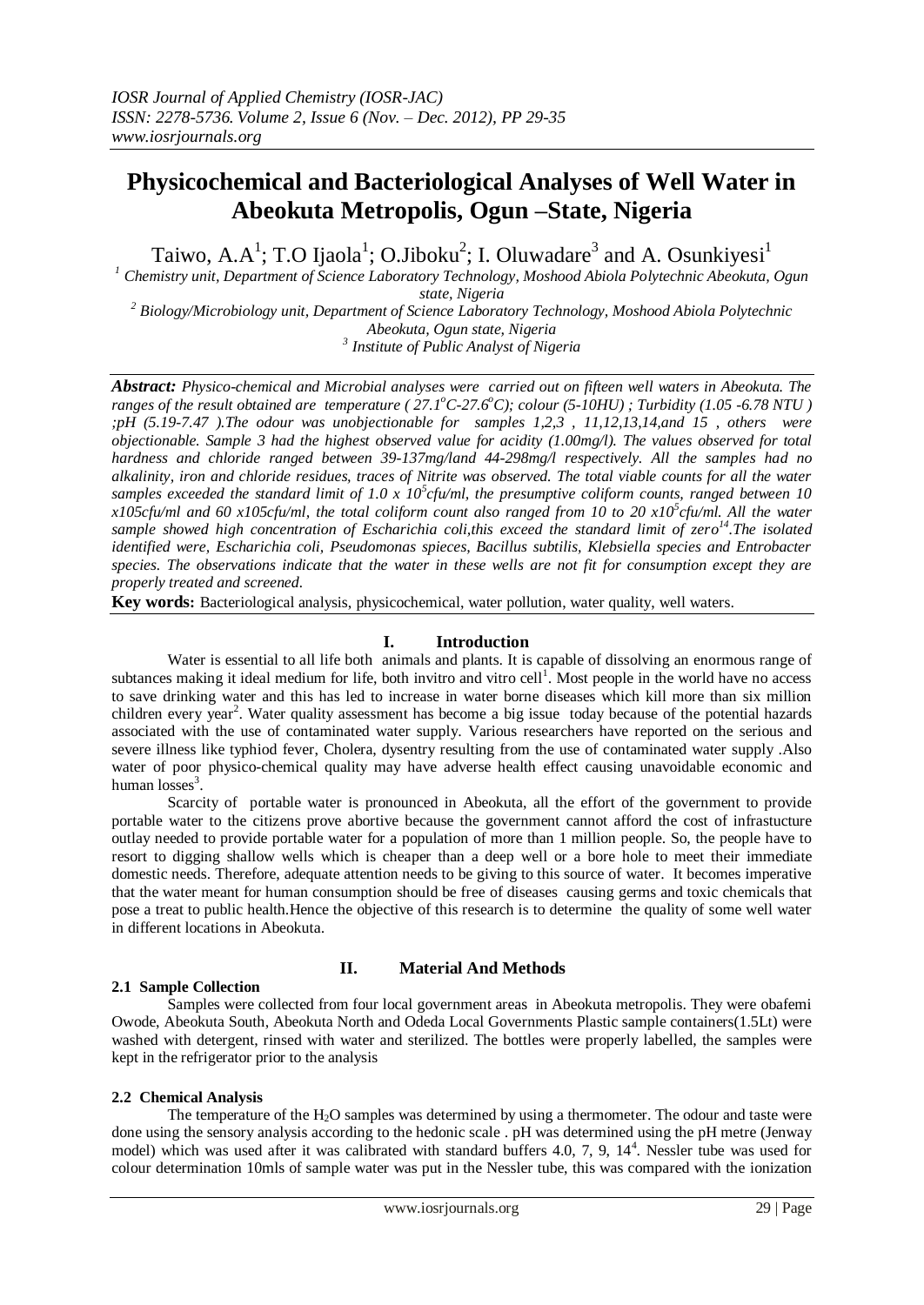# **Physicochemical and Bacteriological Analyses of Well Water in Abeokuta Metropolis, Ogun –State, Nigeria**

Taiwo, A.A<sup>1</sup>; T.O Ijaola<sup>1</sup>; O.Jiboku<sup>2</sup>; I. Oluwadare<sup>3</sup> and A. Osunkiyesi<sup>1</sup>

*<sup>1</sup> Chemistry unit, Department of Science Laboratory Technology, Moshood Abiola Polytechnic Abeokuta, Ogun state, Nigeria*

*<sup>2</sup> Biology/Microbiology unit, Department of Science Laboratory Technology, Moshood Abiola Polytechnic Abeokuta, Ogun state, Nigeria*

*3 Institute of Public Analyst of Nigeria*

*Abstract: Physico-chemical and Microbial analyses were carried out on fifteen well waters in Abeokuta. The ranges of the result obtained are temperature ( 27.1<sup>o</sup>C-27.6<sup>o</sup>C); colour (5-10HU) ; Turbidity (1.05 -6.78 NTU ) ;pH (5.19-7.47 ).The odour was unobjectionable for samples 1,2,3 , 11,12,13,14,and 15 , others were objectionable. Sample 3 had the highest observed value for acidity (1.00mg/l). The values observed for total hardness and chloride ranged between 39-137mg/land 44-298mg/l respectively. All the samples had no alkalinity, iron and chloride residues, traces of Nitrite was observed. The total viable counts for all the water samples exceeded the standard limit of 1.0 x 10<sup>5</sup> cfu/ml, the presumptive coliform counts, ranged between 10 x105cfu/ml and 60 x105cfu/ml, the total coliform count also ranged from 10 to 20 x10<sup>5</sup> cfu/ml. All the water sample showed high concentration of Escharichia coli,this exceed the standard limit of zero <sup>14</sup>.The isolated identified were, Escharichia coli, Pseudomonas spieces, Bacillus subtilis, Klebsiella species and Entrobacter species. The observations indicate that the water in these wells are not fit for consumption except they are properly treated and screened.*

**Key words:** Bacteriological analysis, physicochemical, water pollution, water quality, well waters.

### **I. Introduction**

Water is essential to all life both animals and plants. It is capable of dissolving an enormous range of subtances making it ideal medium for life, both invitro and vitro cell<sup>1</sup>. Most people in the world have no access to save drinking water and this has led to increase in water borne diseases which kill more than six million children every year<sup>2</sup>. Water quality assessment has become a big issue today because of the potential hazards associated with the use of contaminated water supply. Various researchers have reported on the serious and severe illness like typhiod fever, Cholera, dysentry resulting from the use of contaminated water supply .Also water of poor physico-chemical quality may have adverse health effect causing unavoidable economic and human  $losses<sup>3</sup>$ .

Scarcity of portable water is pronounced in Abeokuta, all the effort of the government to provide portable water to the citizens prove abortive because the government cannot afford the cost of infrastucture outlay needed to provide portable water for a population of more than 1 million people. So, the people have to resort to digging shallow wells which is cheaper than a deep well or a bore hole to meet their immediate domestic needs. Therefore, adequate attention needs to be giving to this source of water. It becomes imperative that the water meant for human consumption should be free of diseases causing germs and toxic chemicals that pose a treat to public health.Hence the objective of this research is to determine the quality of some well water in different locations in Abeokuta.

#### **2.1 Sample Collection**

#### **II. Material And Methods**

Samples were collected from four local government areas in Abeokuta metropolis. They were obafemi Owode, Abeokuta South, Abeokuta North and Odeda Local Governments Plastic sample containers(1.5Lt) were washed with detergent, rinsed with water and sterilized. The bottles were properly labelled, the samples were kept in the refrigerator prior to the analysis

#### **2.2 Chemical Analysis**

The temperature of the H<sub>2</sub>O samples was determined by using a thermometer. The odour and taste were done using the sensory analysis according to the hedonic scale . pH was determined using the pH metre (Jenway model) which was used after it was calibrated with standard buffers 4.0, 7, 9, 14<sup>4</sup>. Nessler tube was used for colour determination 10mls of sample water was put in the Nessler tube, this was compared with the ionization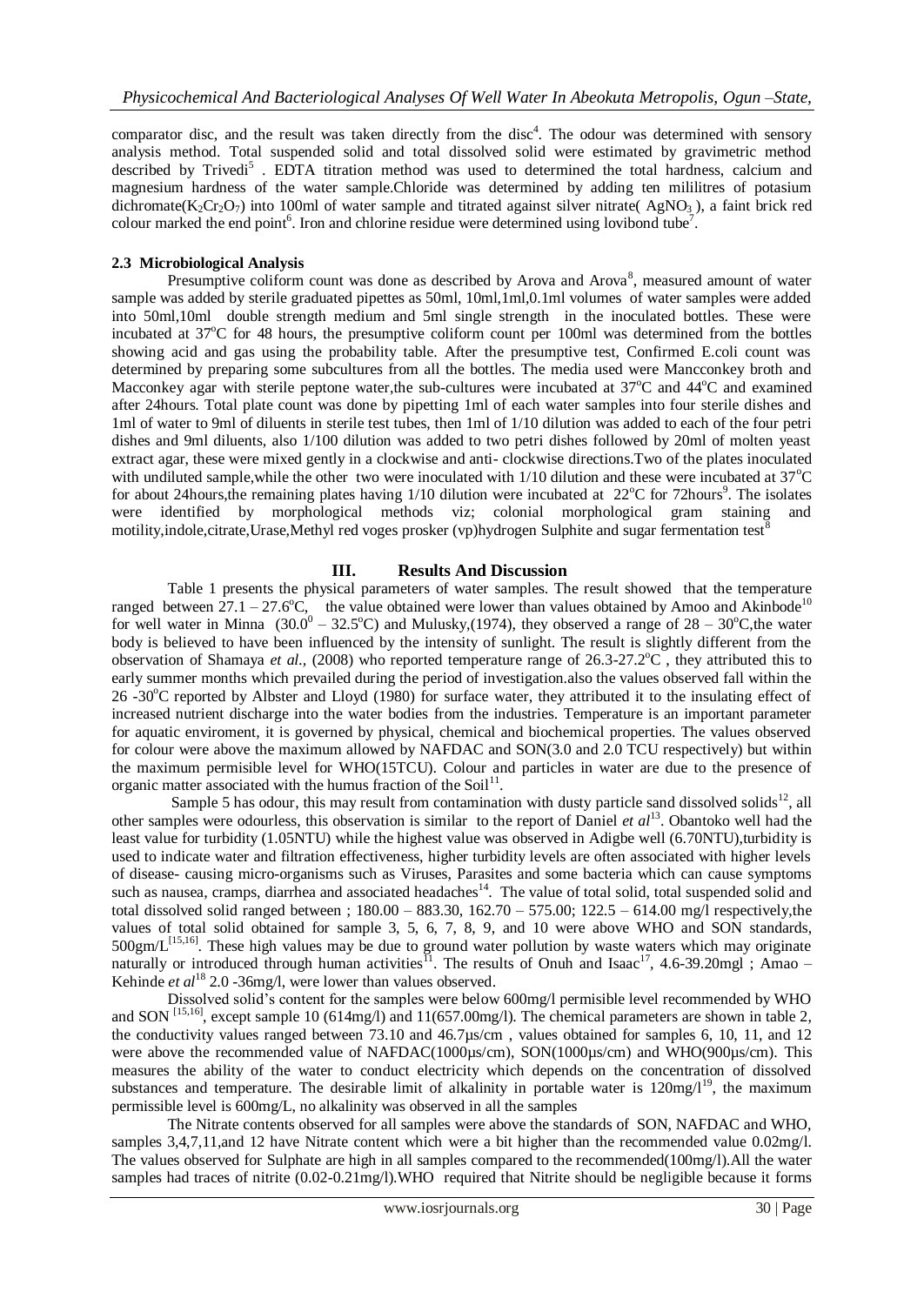comparator disc, and the result was taken directly from the disc<sup>4</sup>. The odour was determined with sensory analysis method. Total suspended solid and total dissolved solid were estimated by gravimetric method described by Trivedi<sup>5</sup>. EDTA titration method was used to determined the total hardness, calcium and magnesium hardness of the water sample.Chloride was determined by adding ten mililitres of potasium dichromate(K<sub>2</sub>Cr<sub>2</sub>O<sub>7</sub>) into 100ml of water sample and titrated against silver nitrate(AgNO<sub>3</sub>), a faint brick red colour marked the end point<sup>6</sup>. Iron and chlorine residue were determined using lovibond tube<sup>7</sup>.

#### **2.3 Microbiological Analysis**

Presumptive coliform count was done as described by Arova and Arova<sup>8</sup>, measured amount of water sample was added by sterile graduated pipettes as 50ml, 10ml,1ml,0.1ml volumes of water samples were added into 50ml,10ml double strength medium and 5ml single strength in the inoculated bottles. These were incubated at  $37^{\circ}$ C for 48 hours, the presumptive coliform count per 100ml was determined from the bottles showing acid and gas using the probability table. After the presumptive test, Confirmed E.coli count was determined by preparing some subcultures from all the bottles. The media used were Mancconkey broth and Macconkey agar with sterile peptone water, the sub-cultures were incubated at  $37^{\circ}$ C and  $44^{\circ}$ C and examined after 24hours. Total plate count was done by pipetting 1ml of each water samples into four sterile dishes and 1ml of water to 9ml of diluents in sterile test tubes, then 1ml of 1/10 dilution was added to each of the four petri dishes and 9ml diluents, also 1/100 dilution was added to two petri dishes followed by 20ml of molten yeast extract agar, these were mixed gently in a clockwise and anti- clockwise directions.Two of the plates inoculated with undiluted sample, while the other two were inoculated with  $1/10$  dilution and these were incubated at  $37^{\circ}$ C for about 24hours, the remaining plates having  $1/10$  dilution were incubated at  $22^{\circ}$ C for 72hours<sup>9</sup>. The isolates were identified by morphological methods viz; colonial morphological gram staining and motility, indole, citrate, Urase, Methyl red voges prosker (vp)hydrogen Sulphite and sugar fermentation test<sup>8</sup>

#### **III. Results And Discussion**

Table 1 presents the physical parameters of water samples. The result showed that the temperature ranged between  $27.1 - 27.6^{\circ}\text{C}$ , the value obtained were lower than values obtained by Amoo and Akinbode<sup>10</sup> for well water in Minna (30.0<sup>0</sup> – 32.5<sup>o</sup>C) and Mulusky,(1974), they observed a range of  $28 - 30$ <sup>o</sup>C, the water body is believed to have been influenced by the intensity of sunlight. The result is slightly different from the observation of Shamaya *et al.*, (2008) who reported temperature range of  $26.3{\text -}27.2^{\circ}\text{C}$ , they attributed this to early summer months which prevailed during the period of investigation.also the values observed fall within the  $26 - 30^{\circ}$ C reported by Albster and Lloyd (1980) for surface water, they attributed it to the insulating effect of increased nutrient discharge into the water bodies from the industries. Temperature is an important parameter for aquatic enviroment, it is governed by physical, chemical and biochemical properties. The values observed for colour were above the maximum allowed by NAFDAC and SON(3.0 and 2.0 TCU respectively) but within the maximum permisible level for WHO(15TCU). Colour and particles in water are due to the presence of organic matter associated with the humus fraction of the Soil $^{11}$ .

Sample 5 has odour, this may result from contamination with dusty particle sand dissolved solids $^{12}$ , all other samples were odourless, this observation is similar to the report of Daniel *et al*<sup>13</sup>. Obantoko well had the least value for turbidity (1.05NTU) while the highest value was observed in Adigbe well (6.70NTU),turbidity is used to indicate water and filtration effectiveness, higher turbidity levels are often associated with higher levels of disease- causing micro-organisms such as Viruses, Parasites and some bacteria which can cause symptoms such as nausea, cramps, diarrhea and associated headaches<sup>14</sup>. The value of total solid, total suspended solid and total dissolved solid ranged between ;  $180.00 - 883.30$ ,  $162.70 - 575.00$ ;  $122.5 - 614.00$  mg/l respectively,the values of total solid obtained for sample 3, 5, 6, 7, 8, 9, and 10 were above WHO and SON standards,  $500gm/L^{[15,16]}$ . These high values may be due to ground water pollution by waste waters which may originate naturally or introduced through human activities<sup>11</sup>. The results of Onuh and Isaac<sup>17</sup>, 4.6-39.20mgl; Amao – Kehinde *et al*<sup>18</sup> 2.0 -36mg/l, were lower than values observed.

Dissolved solid's content for the samples were below 600mg/l permisible level recommended by WHO and SON<sup>[15,16]</sup>, except sample 10 (614mg/l) and 11(657.00mg/l). The chemical parameters are shown in table 2, the conductivity values ranged between 73.10 and 46.7µs/cm , values obtained for samples 6, 10, 11, and 12 were above the recommended value of NAFDAC(1000µs/cm), SON(1000µs/cm) and WHO(900µs/cm). This measures the ability of the water to conduct electricity which depends on the concentration of dissolved substances and temperature. The desirable limit of alkalinity in portable water is  $120$ mg/ $1<sup>9</sup>$ , the maximum permissible level is 600mg/L, no alkalinity was observed in all the samples

The Nitrate contents observed for all samples were above the standards of SON, NAFDAC and WHO, samples 3,4,7,11,and 12 have Nitrate content which were a bit higher than the recommended value 0.02mg/l. The values observed for Sulphate are high in all samples compared to the recommended(100mg/l).All the water samples had traces of nitrite (0.02-0.21mg/l).WHO required that Nitrite should be negligible because it forms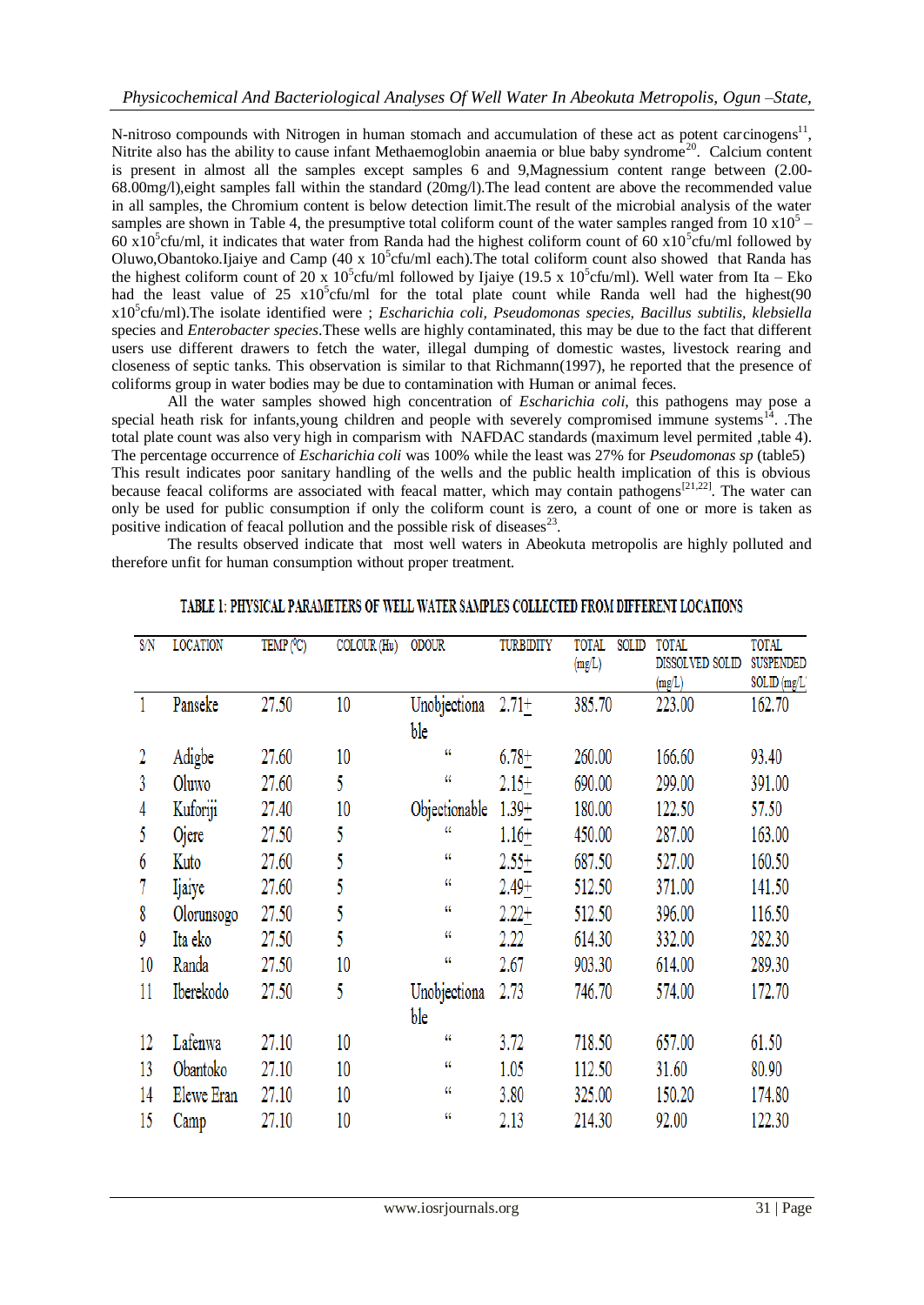N-nitroso compounds with Nitrogen in human stomach and accumulation of these act as potent carcinogens<sup>11</sup>, Nitrite also has the ability to cause infant Methaemoglobin anaemia or blue baby syndrome<sup>20</sup>. Calcium content is present in almost all the samples except samples 6 and 9,Magnessium content range between (2.00- 68.00mg/l),eight samples fall within the standard (20mg/l).The lead content are above the recommended value in all samples, the Chromium content is below detection limit.The result of the microbial analysis of the water samples are shown in Table 4, the presumptive total coliform count of the water samples ranged from 10  $x10<sup>5</sup>$  -60 x10<sup>5</sup>cfu/ml, it indicates that water from Randa had the highest coliform count of 60 x10<sup>5</sup>cfu/ml followed by Oluwo,Obantoko.Ijaiye and Camp (40 x  $10^5$ cfu/ml each).The total coliform count also showed that Randa has the highest coliform count of 20 x 10<sup>5</sup>cfu/ml followed by Ijaiye (19.5 x 10<sup>5</sup>cfu/ml). Well water from Ita – Eko had the least value of  $25 \times 10^5$ cfu/ml for the total plate count while Randa well had the highest(90 x10<sup>5</sup> cfu/ml).The isolate identified were ; *Escharichia coli, Pseudomonas species, Bacillus subtilis, klebsiella* species and *Enterobacter species*.These wells are highly contaminated, this may be due to the fact that different users use different drawers to fetch the water, illegal dumping of domestic wastes, livestock rearing and closeness of septic tanks. This observation is similar to that Richmann(1997), he reported that the presence of coliforms group in water bodies may be due to contamination with Human or animal feces.

All the water samples showed high concentration of *Escharichia coli*, this pathogens may pose a special heath risk for infants,young children and people with severely compromised immune systems $14$ . The total plate count was also very high in comparism with NAFDAC standards (maximum level permited ,table 4). The percentage occurrence of *Escharichia coli* was 100% while the least was 27% for *Pseudomonas sp* (table5) This result indicates poor sanitary handling of the wells and the public health implication of this is obvious because feacal coliforms are associated with feacal matter, which may contain pathogens<sup>[21,22]</sup>. The water can only be used for public consumption if only the coliform count is zero, a count of one or more is taken as positive indication of feacal pollution and the possible risk of diseases $^{23}$ .

The results observed indicate that most well waters in Abeokuta metropolis are highly polluted and therefore unfit for human consumption without proper treatment.

| S/N          | <b>LOCATION</b> | TEMP (°C) | COLOUR (Hu) | <b>ODOUR</b>  | <b>TURBIDITY</b> | <b>TOTAL</b><br>SOLID<br>(mg/L) | <b>TOTAL</b><br>DISSOLVED SOLID | <b>TOTAL</b><br><b>SUSPENDED</b> |
|--------------|-----------------|-----------|-------------|---------------|------------------|---------------------------------|---------------------------------|----------------------------------|
|              |                 |           |             |               |                  |                                 | (mg/L)                          | SOLID (mg/L                      |
| $\mathbf{1}$ | Panseke         | 27.50     | 10          | Unobjectiona  | $2.71+$          | 385.70                          | 223.00                          | 162.70                           |
|              |                 |           |             | ble           |                  |                                 |                                 |                                  |
| 2            | Adigbe          | 27.60     | 10          | u             | $6.78 +$         | 260.00                          | 166.60                          | 93.40                            |
| 3            | Oluwo           | 27.60     | 5           | a             | $2.15+$          | 690.00                          | 299.00                          | 391.00                           |
| 4            | Kuforiji        | 27.40     | 10          | Objectionable | $1.39 +$         | 180.00                          | 122.50                          | 57.50                            |
| 5            | Ojere           | 27.50     | 5           | "             | $1.16+$          | 450.00                          | 287.00                          | 163.00                           |
| 6            | Kuto            | 27.60     | 5           | u             | $2.55+$          | 687.50                          | 527.00                          | 160.50                           |
|              | <b>Ijaiye</b>   | 27.60     | 5           | 44            | 2.49+            | 512.50                          | 371.00                          | 141.50                           |
| 8            | Olorunsogo      | 27.50     | 5           | 44            | $2.22+$          | 512.50                          | 396.00                          | 116.50                           |
| 9            | Ita eko         | 27.50     | 5           | 44            | 2.22             | 614.30                          | 332.00                          | 282.30                           |
| 10           | Randa           | 27.50     | 10          | 44            | 2.67             | 903.30                          | 614.00                          | 289.30                           |
| 11           | Iberekodo       | 27.50     | 5           | Unobjectiona  | 2.73             | 746.70                          | 574.00                          | 172.70                           |
|              |                 |           |             | ble           |                  |                                 |                                 |                                  |
| 12           | Lafenwa         | 27.10     | 10          | a             | 3.72             | 718.50                          | 657.00                          | 61.50                            |
| 13           | Obantoko        | 27.10     | 10          | 44            | 1.05             | 112.50                          | 31.60                           | 80.90                            |
| 14           | Elewe Eran      | 27.10     | 10          | 44            | 3.80             | 325.00                          | 150.20                          | 174.80                           |
| 15           | Camp            | 27.10     | 10          | 44            | 2.13             | 214.30                          | 92.00                           | 122.30                           |

#### TABLE 1: PHYSICAL PARAMETERS OF WELL WATER SAMPLES COLLECTED FROM DIFFERENT LOCATIONS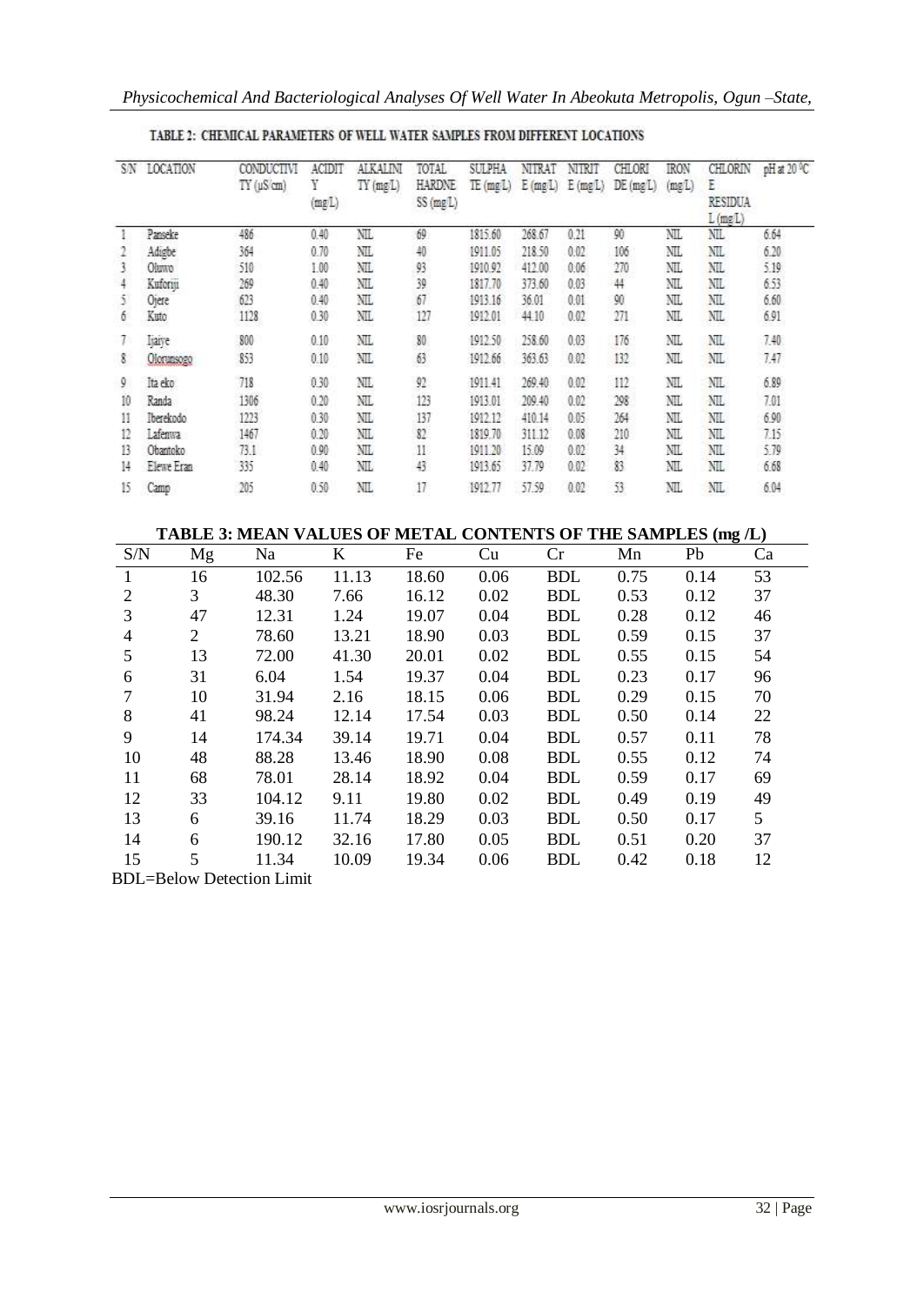|    | SN LOCATION | CONDUCTIVI<br>$TY(\mu Scm)$ | ACIDIT<br>Y<br>(mgL) | <b>ALKALIN</b><br>$TY$ (mg $L$ ) | TOTAL<br>HARDNE<br>SS (mg/L) | <b>SULPHA</b><br>TE(mgl) | NITRAT<br>$E$ (mg $L$ ) | NIRIT<br>$E$ (mg L) | CHLORI<br>DE(mgL) | <b>IRON</b><br>(mgL) | CHLORIN<br>E<br><b>RESIDUA</b><br>$L$ (mg $L$ ) | pHat 20 °C |
|----|-------------|-----------------------------|----------------------|----------------------------------|------------------------------|--------------------------|-------------------------|---------------------|-------------------|----------------------|-------------------------------------------------|------------|
|    | Panseke     | 486                         | 0.40                 | NIL.                             | 69                           | 1815.60                  | 268.67                  | 0.21                | 90                | NΠ                   | NIL                                             | 6.64       |
|    | Adigbe      | 364                         | 0.70                 | NIL                              | 40                           | 1911.05                  | 218.50                  | 0.02                | 106               | NIL                  | NIL                                             | 6.20       |
|    | Oiumo       | 510                         | 1.00                 | NΙL                              | 93                           | 1910.92                  | 412.00                  | 0.06                | 270               | NIL                  | NIL                                             | 5.19       |
|    | Kuform      | 269                         | 0.40                 | NIL                              | 39                           | 1817.70                  | 373.60                  | 0.03                | 44                | NIL                  | NIL                                             | 6.53       |
| 5  | Ojere       | 623                         | 0.40                 | NΙL                              | 67                           | 1913.16                  | 36.01                   | 0.01                | 90                | NΙL                  | NIL                                             | 6.60       |
| 6  | Kuto        | 1128                        | 0.30                 | ΝL                               | 127                          | 1912.01                  | 44.10                   | 0.02                | 271               | NIL.                 | NIL                                             | 6.91       |
|    | ljaive      | 800                         | 0.10                 | NIL                              | 80                           | 1912.50                  | 258.60                  | 0.03                | 176               | NIL                  | NIL                                             | 7.40       |
| 8  | Olorunsogo  | 853                         | 0.10                 | NΙL                              | 63                           | 1912.66                  | 363.63                  | 0.02                | 132               | NΙ                   | NIL                                             | 7.47       |
| 9. | Ita eko     | 718                         | 0.30                 | NIL                              | 92                           | 1911.41                  | 269.40                  | 0.02                | 112               | NШ                   | NIL                                             | 6.89       |
| 10 | Randa       | 1306                        | 0.20                 | NΙL                              | 123                          | 1913.01                  | 209.40                  | 0.02                | 298               | NΙ                   | NL                                              | 7.01       |
| 11 | Iberekodo   | 1223                        | 0.30                 | NΙL                              | 137                          | 1912.12                  | 410.14                  | 0.05                | 264               | NIL                  | NIL                                             | 6.90       |
| 12 | Lafenwa     | 1467                        | 0.20                 | NΙL                              | 82                           | 1819.70                  | 311.12                  | 0.08                | 210               | NIL                  | NIL                                             | 7.15       |
| 13 | Obantoko    | 73.1                        | 0.90                 | NΙL                              | 11                           | 1911-20                  | 15.09                   | 0.02                | 34                | NΠ                   | NL                                              | 5.79       |
| 14 | Elewe Eran  | 335                         | 0.40                 | NΙL                              | 43                           | 1913.65                  | 37.79                   | 0.02                | 83                | NIL                  | NI.                                             | 6.68       |
| 15 | Camp        | 205                         | 0.50                 | NΙL                              | 17                           | 1912.77                  | 57.59                   | 0.02                | 53                | NΙ                   | NI.                                             | 6.04       |

### TABLE 2: CHEMICAL PARAMETERS OF WELL WATER SAMPLES FROM DIFFERENT LOCATIONS

**TABLE 3: MEAN VALUES OF METAL CONTENTS OF THE SAMPLES (mg /L)**

| S/N            | Mg             | Na                               | K     | Fe    | Cu   | Cr         | Mn   | Pb   | Ca |
|----------------|----------------|----------------------------------|-------|-------|------|------------|------|------|----|
|                | 16             | 102.56                           | 11.13 | 18.60 | 0.06 | <b>BDL</b> | 0.75 | 0.14 | 53 |
| 2              | 3              | 48.30                            | 7.66  | 16.12 | 0.02 | <b>BDL</b> | 0.53 | 0.12 | 37 |
| 3              | 47             | 12.31                            | 1.24  | 19.07 | 0.04 | <b>BDL</b> | 0.28 | 0.12 | 46 |
| $\overline{4}$ | $\overline{2}$ | 78.60                            | 13.21 | 18.90 | 0.03 | <b>BDL</b> | 0.59 | 0.15 | 37 |
| 5              | 13             | 72.00                            | 41.30 | 20.01 | 0.02 | <b>BDL</b> | 0.55 | 0.15 | 54 |
| 6              | 31             | 6.04                             | 1.54  | 19.37 | 0.04 | <b>BDL</b> | 0.23 | 0.17 | 96 |
| 7              | 10             | 31.94                            | 2.16  | 18.15 | 0.06 | <b>BDL</b> | 0.29 | 0.15 | 70 |
| 8              | 41             | 98.24                            | 12.14 | 17.54 | 0.03 | <b>BDL</b> | 0.50 | 0.14 | 22 |
| 9              | 14             | 174.34                           | 39.14 | 19.71 | 0.04 | <b>BDL</b> | 0.57 | 0.11 | 78 |
| 10             | 48             | 88.28                            | 13.46 | 18.90 | 0.08 | <b>BDL</b> | 0.55 | 0.12 | 74 |
| 11             | 68             | 78.01                            | 28.14 | 18.92 | 0.04 | <b>BDL</b> | 0.59 | 0.17 | 69 |
| 12             | 33             | 104.12                           | 9.11  | 19.80 | 0.02 | <b>BDL</b> | 0.49 | 0.19 | 49 |
| 13             | 6              | 39.16                            | 11.74 | 18.29 | 0.03 | <b>BDL</b> | 0.50 | 0.17 | 5  |
| 14             | 6              | 190.12                           | 32.16 | 17.80 | 0.05 | <b>BDL</b> | 0.51 | 0.20 | 37 |
| 15             | 5              | 11.34                            | 10.09 | 19.34 | 0.06 | <b>BDL</b> | 0.42 | 0.18 | 12 |
|                |                | <b>BDL=Below Detection Limit</b> |       |       |      |            |      |      |    |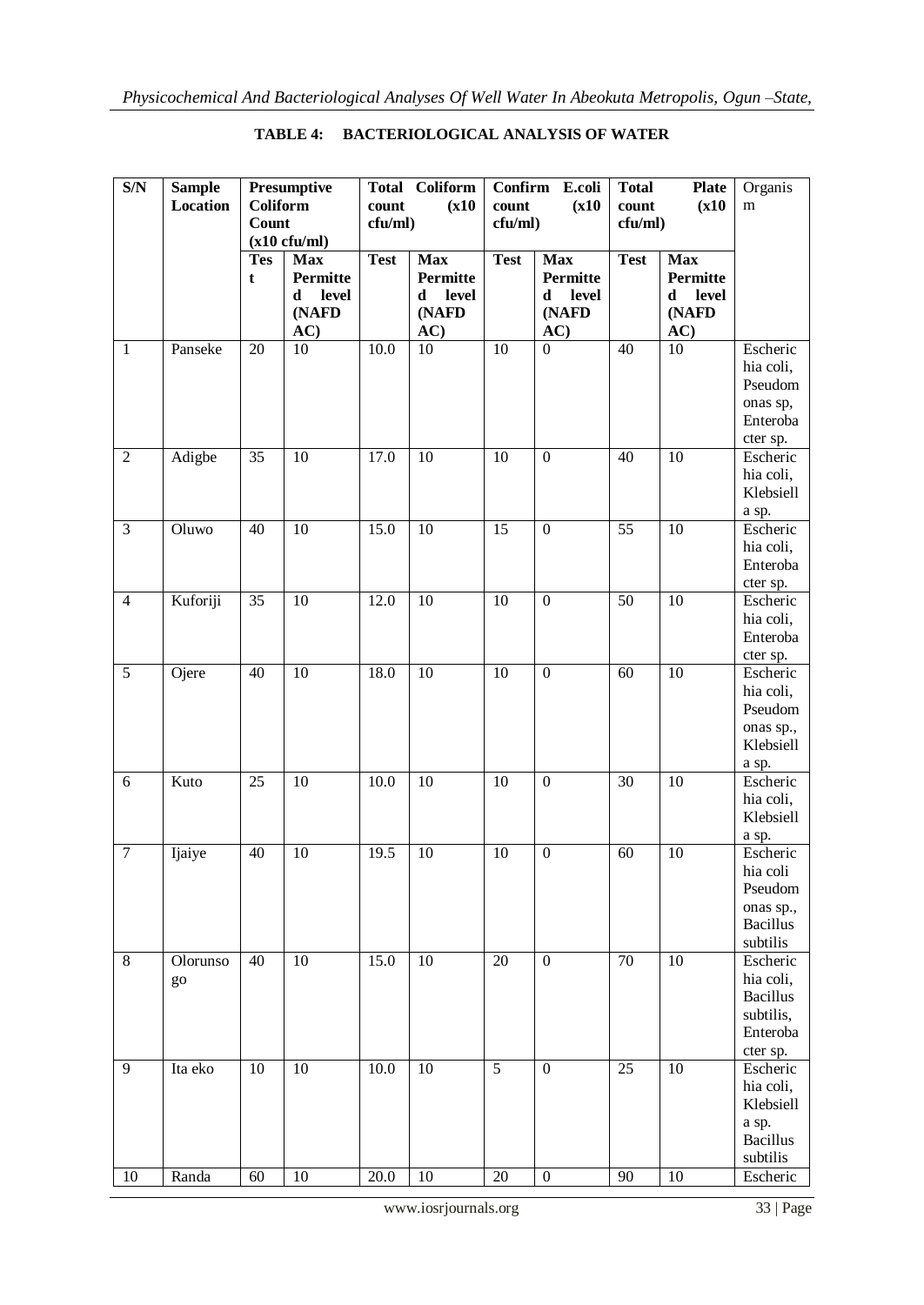| S/N            | <b>Sample</b> |                        | Presumptive     |             | <b>Total Coliform</b> | <b>Confirm</b>  | E.coli           | <b>Total</b>    | <b>Plate</b>    | Organis         |
|----------------|---------------|------------------------|-----------------|-------------|-----------------------|-----------------|------------------|-----------------|-----------------|-----------------|
|                | Location      | <b>Coliform</b>        |                 | count       | (x10)                 | count           | (x10)            | count           | (x10)           | ${\bf m}$       |
|                |               | <b>Count</b>           |                 |             | cfu/ml)               |                 | cfu/ml)          |                 | cfu/ml)         |                 |
|                |               | $(x10 \text{ c}fu/ml)$ |                 |             |                       |                 |                  |                 |                 |                 |
|                |               | <b>Tes</b>             | <b>Max</b>      | <b>Test</b> | <b>Max</b>            | <b>Test</b>     | <b>Max</b>       | <b>Test</b>     | <b>Max</b>      |                 |
|                |               | t                      | <b>Permitte</b> |             | <b>Permitte</b>       |                 | Permitte         |                 | <b>Permitte</b> |                 |
|                |               |                        | level<br>d      |             | level<br>d            |                 | level<br>d       |                 | level<br>d      |                 |
|                |               |                        | (NAFD           |             | (NAFD                 |                 | (NAFD            |                 | (NAFD           |                 |
|                |               |                        | AC)             |             | AC)                   |                 | AC)              |                 | AC)             |                 |
| $\mathbf{1}$   | Panseke       | 20                     | 10              | 10.0        | 10                    | 10              | $\mathbf{0}$     | 40              | 10              | Escheric        |
|                |               |                        |                 |             |                       |                 |                  |                 |                 | hia coli,       |
|                |               |                        |                 |             |                       |                 |                  |                 |                 | Pseudom         |
|                |               |                        |                 |             |                       |                 |                  |                 |                 | onas sp,        |
|                |               |                        |                 |             |                       |                 |                  |                 |                 | Enteroba        |
|                |               |                        |                 |             |                       |                 |                  |                 |                 | cter sp.        |
| $\overline{2}$ | Adigbe        | 35                     | 10              | 17.0        | 10                    | $\overline{10}$ | $\mathbf{0}$     | 40              | $\overline{10}$ | Escheric        |
|                |               |                        |                 |             |                       |                 |                  |                 |                 | hia coli,       |
|                |               |                        |                 |             |                       |                 |                  |                 |                 | Klebsiell       |
|                |               |                        |                 |             |                       |                 |                  |                 |                 | a sp.           |
| 3              | Oluwo         | 40                     | 10              | 15.0        | 10                    | 15              | $\boldsymbol{0}$ | 55              | 10              | Escheric        |
|                |               |                        |                 |             |                       |                 |                  |                 |                 | hia coli,       |
|                |               |                        |                 |             |                       |                 |                  |                 |                 | Enteroba        |
|                |               |                        |                 |             |                       |                 |                  |                 |                 | cter sp.        |
| $\overline{4}$ | Kuforiji      | $\overline{35}$        | $\overline{10}$ | 12.0        | $\overline{10}$       | $\overline{10}$ | $\boldsymbol{0}$ | $\overline{50}$ | $\overline{10}$ | Escheric        |
|                |               |                        |                 |             |                       |                 |                  |                 |                 | hia coli,       |
|                |               |                        |                 |             |                       |                 |                  |                 |                 | Enteroba        |
|                |               |                        |                 |             |                       |                 |                  |                 |                 | cter sp.        |
| $\overline{5}$ | Ojere         | 40                     | 10              | 18.0        | 10                    | 10              | $\boldsymbol{0}$ | 60              | $\overline{10}$ | Escheric        |
|                |               |                        |                 |             |                       |                 |                  |                 |                 | hia coli,       |
|                |               |                        |                 |             |                       |                 |                  |                 |                 | Pseudom         |
|                |               |                        |                 |             |                       |                 |                  |                 |                 | onas sp.,       |
|                |               |                        |                 |             |                       |                 |                  |                 |                 | Klebsiell       |
|                |               |                        |                 |             |                       |                 |                  |                 |                 | a sp.           |
| $\overline{6}$ | Kuto          | 25                     | $\overline{10}$ | 10.0        | $\overline{10}$       | 10              | $\mathbf{0}$     | $\overline{30}$ | $\overline{10}$ | Escheric        |
|                |               |                        |                 |             |                       |                 |                  |                 |                 | hia coli,       |
|                |               |                        |                 |             |                       |                 |                  |                 |                 | Klebsiell       |
|                |               |                        |                 |             |                       |                 |                  |                 |                 | a sp.           |
| $\overline{7}$ | Ijaiye        | 40                     | 10              | 19.5        | 10                    | 10              | $\overline{0}$   | 60              | 10              | Escheric        |
|                |               |                        |                 |             |                       |                 |                  |                 |                 | hia coli        |
|                |               |                        |                 |             |                       |                 |                  |                 |                 | Pseudom         |
|                |               |                        |                 |             |                       |                 |                  |                 |                 | onas sp.,       |
|                |               |                        |                 |             |                       |                 |                  |                 |                 | <b>Bacillus</b> |
|                |               |                        |                 |             |                       |                 |                  |                 |                 | subtilis        |
| $\overline{8}$ | Olorunso      | 40                     | 10              | 15.0        | 10                    | 20              | $\boldsymbol{0}$ | $\overline{70}$ | $\overline{10}$ | Escheric        |
|                | go            |                        |                 |             |                       |                 |                  |                 |                 | hia coli,       |
|                |               |                        |                 |             |                       |                 |                  |                 |                 | <b>Bacillus</b> |
|                |               |                        |                 |             |                       |                 |                  |                 |                 | subtilis,       |
|                |               |                        |                 |             |                       |                 |                  |                 |                 | Enteroba        |
|                |               |                        |                 |             |                       |                 |                  |                 |                 | cter sp.        |
| 9              | Ita eko       | 10                     | 10              | 10.0        | 10                    | 5               | $\boldsymbol{0}$ | 25              | 10              | Escheric        |
|                |               |                        |                 |             |                       |                 |                  |                 |                 | hia coli,       |
|                |               |                        |                 |             |                       |                 |                  |                 |                 | Klebsiell       |
|                |               |                        |                 |             |                       |                 |                  |                 |                 | a sp.           |
|                |               |                        |                 |             |                       |                 |                  |                 |                 | <b>Bacillus</b> |
|                |               |                        |                 |             |                       |                 |                  |                 |                 | subtilis        |
| 10             | Randa         | 60                     | $10\,$          | $20.0\,$    | 10                    | 20              | $\boldsymbol{0}$ | 90              | 10              | Escheric        |

## **TABLE 4: BACTERIOLOGICAL ANALYSIS OF WATER**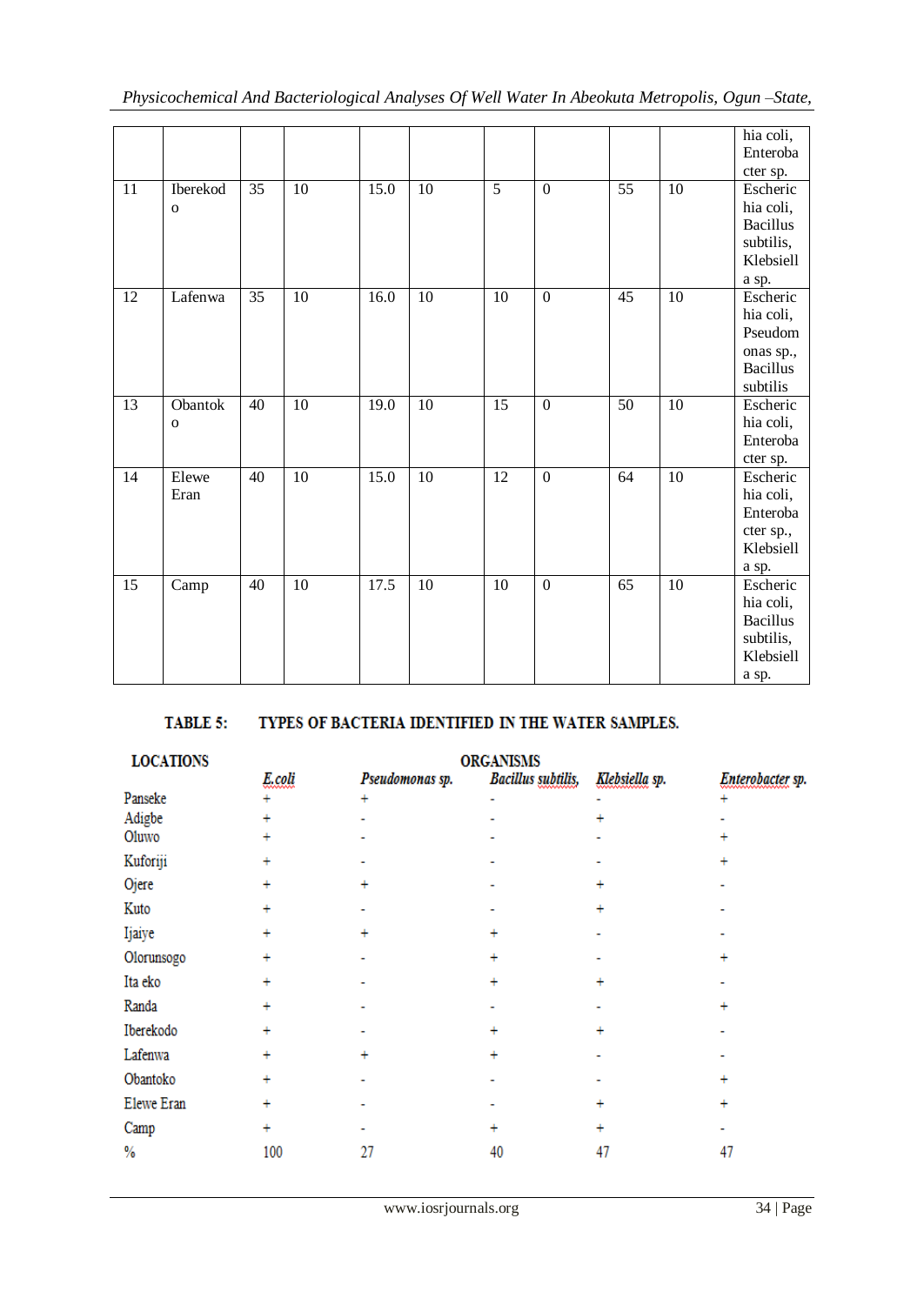|    |                          |                 |                 |      |                 |                 |                  |                 |                 | hia coli,<br>Enteroba<br>cter sp.                                            |
|----|--------------------------|-----------------|-----------------|------|-----------------|-----------------|------------------|-----------------|-----------------|------------------------------------------------------------------------------|
| 11 | Iberekod<br>$\mathbf{o}$ | 35              | $\overline{10}$ | 15.0 | $\overline{10}$ | $\overline{5}$  | $\overline{0}$   | $\overline{55}$ | $\overline{10}$ | Escheric<br>hia coli,<br><b>Bacillus</b><br>subtilis,<br>Klebsiell<br>a sp.  |
| 12 | Lafenwa                  | $\overline{35}$ | 10              | 16.0 | $10\,$          | 10              | $\overline{0}$   | $\overline{45}$ | $\overline{10}$ | Escheric<br>hia coli,<br>Pseudom<br>onas sp.,<br><b>Bacillus</b><br>subtilis |
| 13 | Obantok<br>$\mathbf O$   | 40              | 10              | 19.0 | 10              | 15              | $\boldsymbol{0}$ | 50              | 10              | Escheric<br>hia coli,<br>Enteroba<br>cter sp.                                |
| 14 | Elewe<br>Eran            | $\overline{40}$ | $\overline{10}$ | 15.0 | $\overline{10}$ | $\overline{12}$ | $\overline{0}$   | $\overline{64}$ | 10              | Escheric<br>hia coli,<br>Enteroba<br>cter sp.,<br>Klebsiell<br>a sp.         |
| 15 | Camp                     | 40              | 10              | 17.5 | 10              | $\overline{10}$ | $\overline{0}$   | $\overline{65}$ | $\overline{10}$ | Escheric<br>hia coli,<br><b>Bacillus</b><br>subtilis,<br>Klebsiell<br>a sp.  |

#### TABLE 5: TYPES OF BACTERIA IDENTIFIED IN THE WATER SAMPLES.

| <b>ORGANISMS</b> |                 |           |                           |                  |  |  |  |  |  |
|------------------|-----------------|-----------|---------------------------|------------------|--|--|--|--|--|
| E.coli           | Pseudomonas sp. |           | Klebsiella sp.            | Enterobacter sp. |  |  |  |  |  |
| ÷                | ÷               |           |                           |                  |  |  |  |  |  |
| ÷                |                 |           |                           |                  |  |  |  |  |  |
|                  |                 |           |                           |                  |  |  |  |  |  |
|                  |                 |           |                           |                  |  |  |  |  |  |
|                  |                 |           |                           |                  |  |  |  |  |  |
|                  |                 |           |                           |                  |  |  |  |  |  |
|                  | $\ddot{}$       | $\ddot{}$ |                           |                  |  |  |  |  |  |
| $\ddot{}$        |                 | $+$       |                           |                  |  |  |  |  |  |
|                  |                 | ÷         |                           |                  |  |  |  |  |  |
|                  |                 |           |                           |                  |  |  |  |  |  |
| $\ddot{}$        |                 | ÷         |                           |                  |  |  |  |  |  |
| ÷                | $\ddot{}$       | ÷         |                           |                  |  |  |  |  |  |
| $\ddot{}$        |                 |           |                           | ÷                |  |  |  |  |  |
| $\ddot{}$        |                 |           |                           |                  |  |  |  |  |  |
|                  |                 |           |                           |                  |  |  |  |  |  |
| 100              | 27              | 40        | 47                        | 47               |  |  |  |  |  |
|                  |                 |           | <b>Bacillus</b> subtilis, |                  |  |  |  |  |  |